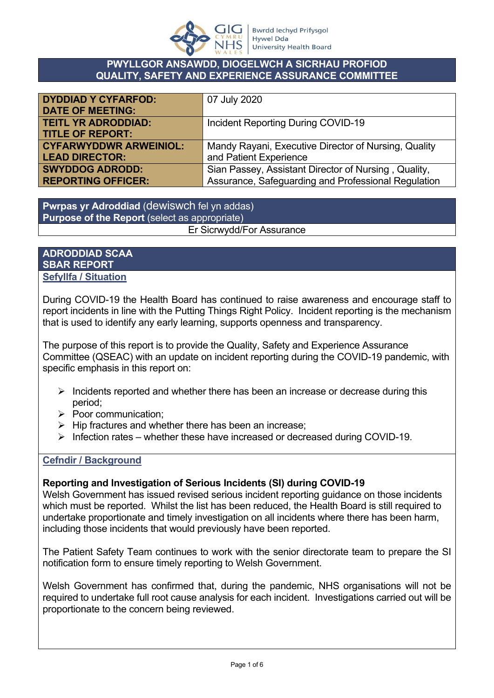

#### **PWYLLGOR ANSAWDD, DIOGELWCH A SICRHAU PROFIOD QUALITY, SAFETY AND EXPERIENCE ASSURANCE COMMITTEE**

| <b>DYDDIAD Y CYFARFOD:</b>    | 07 July 2020                                         |
|-------------------------------|------------------------------------------------------|
| <b>DATE OF MEETING:</b>       |                                                      |
| <b>TEITL YR ADRODDIAD:</b>    | Incident Reporting During COVID-19                   |
| <b>TITLE OF REPORT:</b>       |                                                      |
| <b>CYFARWYDDWR ARWEINIOL:</b> | Mandy Rayani, Executive Director of Nursing, Quality |
| <b>LEAD DIRECTOR:</b>         | and Patient Experience                               |
| <b>SWYDDOG ADRODD:</b>        | Sian Passey, Assistant Director of Nursing, Quality, |
| <b>REPORTING OFFICER:</b>     | Assurance, Safeguarding and Professional Regulation  |

**Pwrpas yr Adroddiad** (dewiswch fel yn addas) **Purpose of the Report** (select as appropriate) Er Sicrwydd/For Assurance

#### **ADRODDIAD SCAA SBAR REPORT Sefyllfa / Situation**

During COVID-19 the Health Board has continued to raise awareness and encourage staff to report incidents in line with the Putting Things Right Policy. Incident reporting is the mechanism that is used to identify any early learning, supports openness and transparency.

The purpose of this report is to provide the Quality, Safety and Experience Assurance Committee (QSEAC) with an update on incident reporting during the COVID-19 pandemic, with specific emphasis in this report on:

- $\triangleright$  Incidents reported and whether there has been an increase or decrease during this period;
- $\triangleright$  Poor communication;
- $\triangleright$  Hip fractures and whether there has been an increase;
- $\triangleright$  Infection rates whether these have increased or decreased during COVID-19.

## **Cefndir / Background**

## **Reporting and Investigation of Serious Incidents (SI) during COVID-19**

Welsh Government has issued revised serious incident reporting guidance on those incidents which must be reported. Whilst the list has been reduced, the Health Board is still required to undertake proportionate and timely investigation on all incidents where there has been harm, including those incidents that would previously have been reported.

The Patient Safety Team continues to work with the senior directorate team to prepare the SI notification form to ensure timely reporting to Welsh Government.

Welsh Government has confirmed that, during the pandemic, NHS organisations will not be required to undertake full root cause analysis for each incident. Investigations carried out will be proportionate to the concern being reviewed.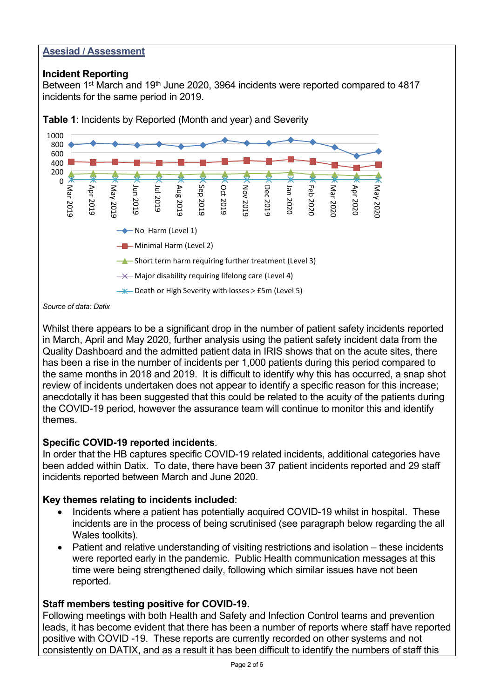#### **Asesiad / Assessment**

#### **Incident Reporting**

Between 1<sup>st</sup> March and 19<sup>th</sup> June 2020, 3964 incidents were reported compared to 4817 incidents for the same period in 2019.



**Table 1**: Incidents by Reported (Month and year) and Severity



Whilst there appears to be a significant drop in the number of patient safety incidents reported in March, April and May 2020, further analysis using the patient safety incident data from the Quality Dashboard and the admitted patient data in IRIS shows that on the acute sites, there has been a rise in the number of incidents per 1,000 patients during this period compared to the same months in 2018 and 2019. It is difficult to identify why this has occurred, a snap shot review of incidents undertaken does not appear to identify a specific reason for this increase; anecdotally it has been suggested that this could be related to the acuity of the patients during the COVID-19 period, however the assurance team will continue to monitor this and identify themes.

## **Specific COVID-19 reported incidents**.

In order that the HB captures specific COVID-19 related incidents, additional categories have been added within Datix. To date, there have been 37 patient incidents reported and 29 staff incidents reported between March and June 2020.

## **Key themes relating to incidents included**:

- Incidents where a patient has potentially acquired COVID-19 whilst in hospital. These incidents are in the process of being scrutinised (see paragraph below regarding the all Wales toolkits).
- Patient and relative understanding of visiting restrictions and isolation these incidents were reported early in the pandemic. Public Health communication messages at this time were being strengthened daily, following which similar issues have not been reported.

## **Staff members testing positive for COVID-19.**

Following meetings with both Health and Safety and Infection Control teams and prevention leads, it has become evident that there has been a number of reports where staff have reported positive with COVID -19. These reports are currently recorded on other systems and not consistently on DATIX, and as a result it has been difficult to identify the numbers of staff this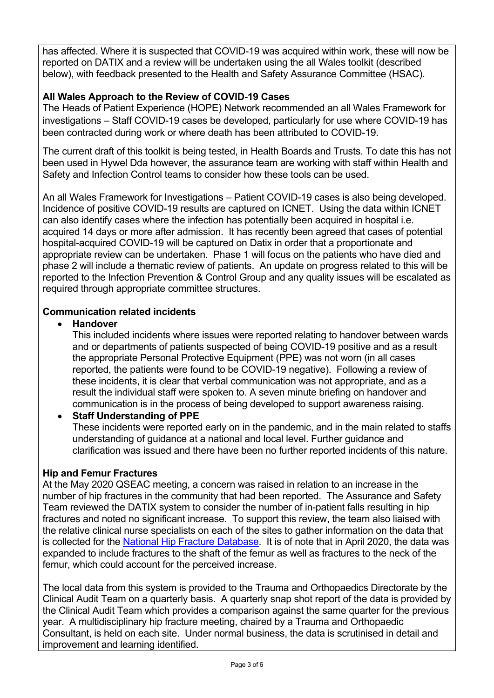has affected. Where it is suspected that COVID-19 was acquired within work, these will now be reported on DATIX and a review will be undertaken using the all Wales toolkit (described below), with feedback presented to the Health and Safety Assurance Committee (HSAC).

# **All Wales Approach to the Review of COVID-19 Cases**

The Heads of Patient Experience (HOPE) Network recommended an all Wales Framework for investigations – Staff COVID-19 cases be developed, particularly for use where COVID-19 has been contracted during work or where death has been attributed to COVID-19.

The current draft of this toolkit is being tested, in Health Boards and Trusts. To date this has not been used in Hywel Dda however, the assurance team are working with staff within Health and Safety and Infection Control teams to consider how these tools can be used.

An all Wales Framework for Investigations – Patient COVID-19 cases is also being developed. Incidence of positive COVID-19 results are captured on ICNET. Using the data within ICNET can also identify cases where the infection has potentially been acquired in hospital i.e. acquired 14 days or more after admission. It has recently been agreed that cases of potential hospital-acquired COVID-19 will be captured on Datix in order that a proportionate and appropriate review can be undertaken. Phase 1 will focus on the patients who have died and phase 2 will include a thematic review of patients. An update on progress related to this will be reported to the Infection Prevention & Control Group and any quality issues will be escalated as required through appropriate committee structures.

## **Communication related incidents**

#### **Handover**

This included incidents where issues were reported relating to handover between wards and or departments of patients suspected of being COVID-19 positive and as a result the appropriate Personal Protective Equipment (PPE) was not worn (in all cases reported, the patients were found to be COVID-19 negative). Following a review of these incidents, it is clear that verbal communication was not appropriate, and as a result the individual staff were spoken to. A seven minute briefing on handover and communication is in the process of being developed to support awareness raising.

## **Staff Understanding of PPE**

These incidents were reported early on in the pandemic, and in the main related to staffs understanding of guidance at a national and local level. Further guidance and clarification was issued and there have been no further reported incidents of this nature.

#### **Hip and Femur Fractures**

At the May 2020 QSEAC meeting, a concern was raised in relation to an increase in the number of hip fractures in the community that had been reported. The Assurance and Safety Team reviewed the DATIX system to consider the number of in-patient falls resulting in hip fractures and noted no significant increase. To support this review, the team also liaised with the relative clinical nurse specialists on each of the sites to gather information on the data that is collected for the [National Hip Fracture Database.](https://www.nhfd.co.uk/) It is of note that in April 2020, the data was expanded to include fractures to the shaft of the femur as well as fractures to the neck of the femur, which could account for the perceived increase.

The local data from this system is provided to the Trauma and Orthopaedics Directorate by the Clinical Audit Team on a quarterly basis. A quarterly snap shot report of the data is provided by the Clinical Audit Team which provides a comparison against the same quarter for the previous year. A multidisciplinary hip fracture meeting, chaired by a Trauma and Orthopaedic Consultant, is held on each site. Under normal business, the data is scrutinised in detail and improvement and learning identified.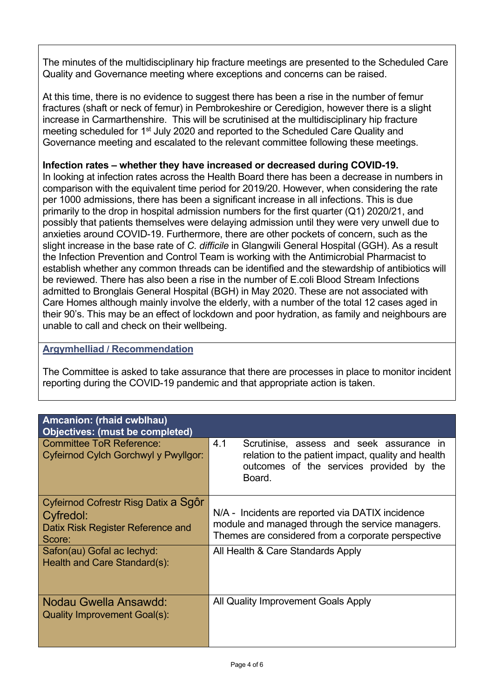The minutes of the multidisciplinary hip fracture meetings are presented to the Scheduled Care Quality and Governance meeting where exceptions and concerns can be raised.

At this time, there is no evidence to suggest there has been a rise in the number of femur fractures (shaft or neck of femur) in Pembrokeshire or Ceredigion, however there is a slight increase in Carmarthenshire. This will be scrutinised at the multidisciplinary hip fracture meeting scheduled for 1<sup>st</sup> July 2020 and reported to the Scheduled Care Quality and Governance meeting and escalated to the relevant committee following these meetings.

#### **Infection rates – whether they have increased or decreased during COVID-19.**

In looking at infection rates across the Health Board there has been a decrease in numbers in comparison with the equivalent time period for 2019/20. However, when considering the rate per 1000 admissions, there has been a significant increase in all infections. This is due primarily to the drop in hospital admission numbers for the first quarter (Q1) 2020/21, and possibly that patients themselves were delaying admission until they were very unwell due to anxieties around COVID-19. Furthermore, there are other pockets of concern, such as the slight increase in the base rate of *C. difficile* in Glangwili General Hospital (GGH). As a result the Infection Prevention and Control Team is working with the Antimicrobial Pharmacist to establish whether any common threads can be identified and the stewardship of antibiotics will be reviewed. There has also been a rise in the number of E.coli Blood Stream Infections admitted to Bronglais General Hospital (BGH) in May 2020. These are not associated with Care Homes although mainly involve the elderly, with a number of the total 12 cases aged in their 90's. This may be an effect of lockdown and poor hydration, as family and neighbours are unable to call and check on their wellbeing.

#### **Argymhelliad / Recommendation**

The Committee is asked to take assurance that there are processes in place to monitor incident reporting during the COVID-19 pandemic and that appropriate action is taken.

| <b>Amcanion: (rhaid cwblhau)</b><br><b>Objectives: (must be completed)</b>                       |                                                                                                                                                             |
|--------------------------------------------------------------------------------------------------|-------------------------------------------------------------------------------------------------------------------------------------------------------------|
| <b>Committee ToR Reference:</b><br>Cyfeirnod Cylch Gorchwyl y Pwyllgor:                          | 4.1<br>Scrutinise, assess and seek assurance in<br>relation to the patient impact, quality and health<br>outcomes of the services provided by the<br>Board. |
| Cyfeirnod Cofrestr Risg Datix a Sgôr<br>Cyfredol:<br>Datix Risk Register Reference and<br>Score: | N/A - Incidents are reported via DATIX incidence<br>module and managed through the service managers.<br>Themes are considered from a corporate perspective  |
| Safon(au) Gofal ac lechyd:<br>Health and Care Standard(s):                                       | All Health & Care Standards Apply                                                                                                                           |
| Nodau Gwella Ansawdd:<br>Quality Improvement Goal(s):                                            | All Quality Improvement Goals Apply                                                                                                                         |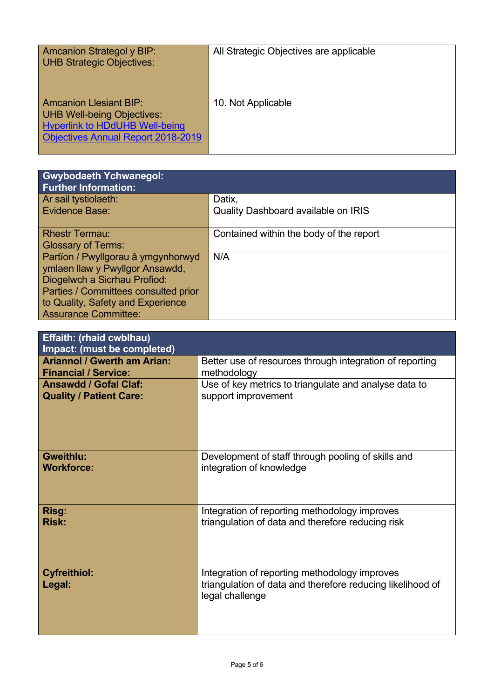| Amcanion Strategol y BIP:<br>UHB Strategic Objectives:                                                                                            | All Strategic Objectives are applicable |
|---------------------------------------------------------------------------------------------------------------------------------------------------|-----------------------------------------|
| <b>Amcanion Llesiant BIP:</b><br>UHB Well-being Objectives:<br><b>Hyperlink to HDdUHB Well-being</b><br><b>Objectives Annual Report 2018-2019</b> | 10. Not Applicable                      |

| <b>Gwybodaeth Ychwanegol:</b><br><b>Further Information:</b> |                                            |
|--------------------------------------------------------------|--------------------------------------------|
| Ar sail tystiolaeth:                                         | Datix,                                     |
| <b>Evidence Base:</b>                                        | <b>Quality Dashboard available on IRIS</b> |
| <b>Rhestr Termau:</b>                                        | Contained within the body of the report    |
| <b>Glossary of Terms:</b>                                    |                                            |
| Partïon / Pwyllgorau â ymgynhorwyd                           | N/A                                        |
| ymlaen llaw y Pwyllgor Ansawdd,                              |                                            |
| Diogelwch a Sicrhau Profiod:                                 |                                            |
| Parties / Committees consulted prior                         |                                            |
| to Quality, Safety and Experience                            |                                            |
| <b>Assurance Committee:</b>                                  |                                            |

| <b>Effaith: (rhaid cwblhau)</b><br>Impact: (must be completed) |                                                                                                                                |
|----------------------------------------------------------------|--------------------------------------------------------------------------------------------------------------------------------|
| <b>Ariannol / Gwerth am Arian:</b>                             | Better use of resources through integration of reporting                                                                       |
| <b>Financial / Service:</b>                                    | methodology                                                                                                                    |
| <b>Ansawdd / Gofal Claf:</b>                                   | Use of key metrics to triangulate and analyse data to                                                                          |
| <b>Quality / Patient Care:</b>                                 | support improvement                                                                                                            |
| <b>Gweithlu:</b>                                               | Development of staff through pooling of skills and                                                                             |
| <b>Workforce:</b>                                              | integration of knowledge                                                                                                       |
| Risg:                                                          | Integration of reporting methodology improves                                                                                  |
| <b>Risk:</b>                                                   | triangulation of data and therefore reducing risk                                                                              |
| <b>Cyfreithiol:</b><br>Legal:                                  | Integration of reporting methodology improves<br>triangulation of data and therefore reducing likelihood of<br>legal challenge |